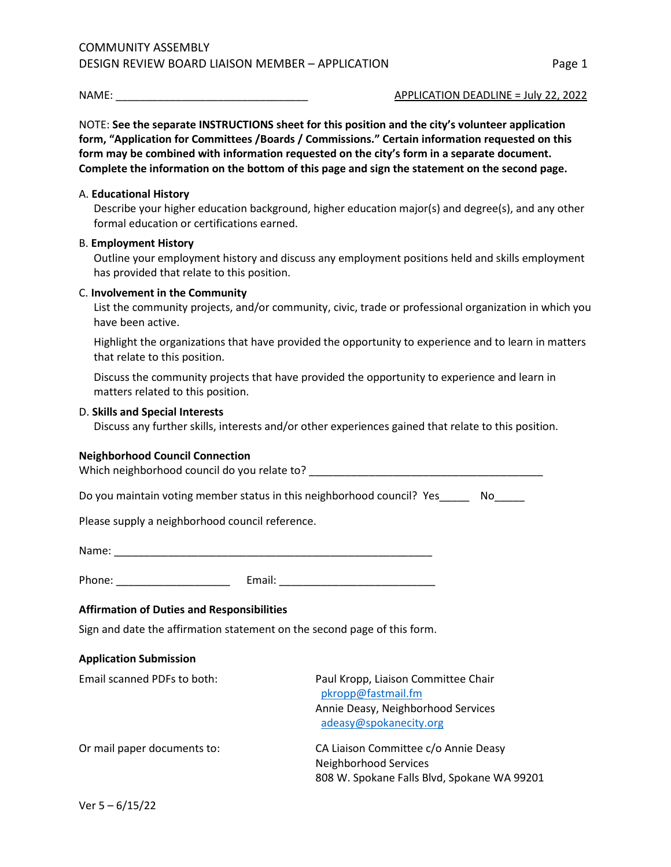NAME: \_\_\_\_\_\_\_\_\_\_\_\_\_\_\_\_\_\_\_\_\_\_\_\_\_\_\_\_\_\_\_\_ APPLICATION DEADLINE = July 22, 2022

NOTE: **See the separate INSTRUCTIONS sheet for this position and the city's volunteer application form, "Application for Committees /Boards / Commissions." Certain information requested on this form may be combined with information requested on the city's form in a separate document. Complete the information on the bottom of this page and sign the statement on the second page.**

## A. **Educational History**

Describe your higher education background, higher education major(s) and degree(s), and any other formal education or certifications earned.

## B. **Employment History**

Outline your employment history and discuss any employment positions held and skills employment has provided that relate to this position.

#### C. **Involvement in the Community**

List the community projects, and/or community, civic, trade or professional organization in which you have been active.

Highlight the organizations that have provided the opportunity to experience and to learn in matters that relate to this position.

Discuss the community projects that have provided the opportunity to experience and learn in matters related to this position.

#### D. **Skills and Special Interests**

Discuss any further skills, interests and/or other experiences gained that relate to this position.

#### **Neighborhood Council Connection**

Which neighborhood council do you relate to?

Do you maintain voting member status in this neighborhood council? Yes\_\_\_\_\_\_ No\_\_\_\_\_

Please supply a neighborhood council reference.

Name: \_\_\_\_\_\_\_\_\_\_\_\_\_\_\_\_\_\_\_\_\_\_\_\_\_\_\_\_\_\_\_\_\_\_\_\_\_\_\_\_\_\_\_\_\_\_\_\_\_\_\_\_\_

Phone: \_\_\_\_\_\_\_\_\_\_\_\_\_\_\_\_\_\_\_ Email: \_\_\_\_\_\_\_\_\_\_\_\_\_\_\_\_\_\_\_\_\_\_\_\_\_\_

## **Affirmation of Duties and Responsibilities**

Sign and date the affirmation statement on the second page of this form.

#### **Application Submission**

| Email scanned PDFs to both: | Paul Kropp, Liaison Committee Chair<br>pkropp@fastmail.fm<br>Annie Deasy, Neighborhood Services<br>adeasy@spokanecity.org |
|-----------------------------|---------------------------------------------------------------------------------------------------------------------------|
| Or mail paper documents to: | CA Liaison Committee c/o Annie Deasy<br>Neighborhood Services<br>808 W. Spokane Falls Blvd, Spokane WA 99201              |